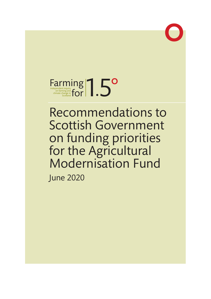

# Farming and **Farming and for 1997** Farming and **Scotland FOR ACTION**

Recommendations to Scottish Government on funding priorities for the Agricultural Modernisation Fund June 2020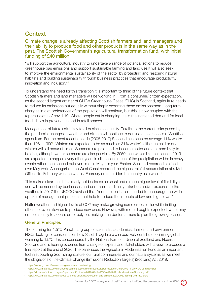# **Context**

## Climate change is already affecting Scottish farmers and land managers and their ability to produce food and other products in the same way as in the past. The Scottish Government's agricultural transformation fund, with initial funding of £40 million

"will support the agricultural industry to undertake a range of potential actions to reduce greenhouse gas emissions and support sustainable farming and land use.It will also seek to improve the environmental sustainability of the sector by protecting and restoring natural habitats and building sustainability through business practices that encourage productivity, innovation and inclusion."1

To understand the need for this transition it is important to think of the future context that Scottish farmers and land managers will be working in. From a consumer/ citizen expectation, as the second largest emitter of GHG's Greenhouse Gases (GHG) in Scotland, agriculture needs to reduce its emissions but equally without simply exporting those emissionsthem. Long term changes in diet preferences of the population will continue, but this is now coupled with the repercussions of covid-19. Where people eat is changing, as is the increased demand for local food - both in provenance and in retail spaces.

Management of future risk is key to all business continuity. Parallel to the current risks posed by the pandemic, changes in weather and climate will continue to dominate the success of Scottish agriculture. For the most recent decade (2008-2017) Scotland has been on average 11% wetter than 1961–1990<sup>2</sup>. Winters are expected to be as much as 31% wetter<sup>3</sup>, although cold or dry winters will still occur at times. Summers are projected to become hotter and are more likely to be drier, although wetter summers are also possible. By 2050, heatwaves like that seen in 2019 are expected to happen every other year. In all seasons much of the precipitation will be in heavy events rather than spaced out over time. In May this year, Eastern Scotland recorded its driest ever May while Achnagart on the West Coast recorded the highest rainfall accumulation at a Met Office site. February was the wettest February on record for the country as a whole<sup>4</sup>.

This makes clear that it is already not business as usual and a much higher level of flexibility is and will be needed by businesses and communities directly reliant on and/or exposed to the weather. In 2017 the UKCCC advised that "more action is also needed to encourage the wider uptake of management practices that help to reduce the impacts of low and high flows."

Hotter weather and higher levels of CO2 may make growing some crops easier while limiting others, or even allow us to produce new ones. However, with more droughts expected, water may not be as easy to access or to reply on, making it harder for farmers to plan the growing season.

## General Principles

The Farming for 1.5°C Panel is a group of scientists, academics, farmers and environmental NGOs looking for consensus on how Scottish agriluture can positively contribute to limiting global warming to 1.5°C. It is co-sponsored by the National Farmers' Union of Scotland and Nourish Scotland and is hearing evidence from a range of experts and stakeholders with a view to produce a final report at the end of 2020. The panel sees the Agricultural Modernisation Fund as an important tool in supporting Scottish agriculture, our rural communities and our natural systems as we meet the obligations of the Climate Change (Emissions Reduction Targets) (Scotland) Act 2019.

<sup>4</sup> https://www.metoffice.gov.uk/about-us/press-office/news/weather-and-climate/2020/2020-spring-and-may-stats



<sup>1</sup> https://news.gov.scot/news/moving-to-low-carbon-farming

<sup>2</sup> https://www.metoffice.gov.uk/binaries/content/assets/metofficegovuk/pdf/research/ukcp/ukcp18-overview-summary.pdf

<sup>3</sup> https://documents.theccc.org.uk/wp-content/uploads/2016/07/UK-CCRA-2017-Scotland-National-Summary.pdf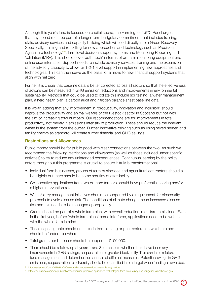Although this year's fund is focused on capital spend, the Farming for 1.5°C Panel urges that any spend must be part of a longer-term budgetary commitment that includes training, skills, advisory services and capacity building which will feed directly into a Green Recovery. Specifically, training and re-skilling for new approaches and technology such as Precision Agriculture technology<sup> $5/6$ </sup>, farm level decision support systems and Monitoring Reporting and Validation (MRV). This should cover both 'tech' in terms of on-farm monitoring equipment and online user interfaces. Support needs to include advisory services, training and the expansion of the advisory capacity to allow for 1-2-1 level support in implementing new approaches and technologies. This can then serve as the basis for a move to new financial support systems that align with net zero.

Further, it is crucial that baseline data is better collected across all sectors so that the effectiveness of actions can be measured in GHG emission reductions and improvements in environmental sustainability. Methods that could be used to collate this include soil testing, a water management plan, a herd health plan, a carbon audit and nitrogen balance sheet base line data.

It is worth adding that any improvement in "productivity, innovation and inclusion" should improve the productivity and animal welfare of the livestock sector in Scotland but not with the aim of increasing total numbers. Our recommendations are for improvements in total productivity, not merely in emissions intensity of production. These should reduce the inherent waste in the system from the outset. Further innovative thinking such as using sexed semen and fertility checks as standard will create further financial and GHG savings.

## Restrictions and Allowances

Public money should be for public good with clear connections between the two. As such we recommend the following restrictions and allowances (as well as those included under specific activities) to try to reduce any unintended consequences. Continuous learning by the policy actors throughout this programme is crucial to ensure it truly is transformational.

- Individual farm businesses, groups of farm businesses and agricultural contractors should all be eligible but there should be some scrutiny of affordability.
- Co-operative applications from two or more farmers should have preferential scoring and/or a higher intervention rate.
- Waste/slurry management initiatives should be supported by a requirement for biosecurity protocols to avoid disease risk. The conditions of climate change mean increased disease risk and this needs to be managed appropriately.
- Grants should be part of a whole farm plan, with overall reduction in on-farm emissions. Even in the first year, before 'whole farm plans' come into force, applications need to be written with the whole farm in mind.
- These capital grants should not include tree-planting or peat restoration which are and should be funded elsewhere.
- Total grants per business should be capped at £100 000.
- There should be a follow up at years 1 and 3 to measure whether there have been any improvements in GHG savings, sequestration or greater biodiversity. This can inform future fund management and determine the success of different measures. Potential savings in GHG emissions, sequestration, biodiversity should be quantified into a target when funding is awarded.

<sup>5</sup> https://sefari.scot/blog/2019/04/08/is-smart-farming-a-solution-for-scottish-agriculture

<sup>6</sup> https://ec.europa.eu/jrc/en/publication/contribution-precision-agriculture-technologies-farm-productivity-and-mitigation-greenhouse-gas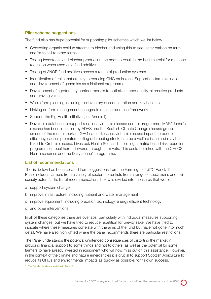## Pilot scheme suggestions

The fund also has huge potential for supporting pilot schemes which we list below.

- Converting organic residue streams to biochar and using this to sequester carbon on farm and/or to sell to other farms
- Testing feedstocks and biochar production methods to result in the best material for methane reduction when used as a feed additive.
- Testing of 3NOP feed additives across a range of production systems.
- Identification of traits that are key to reducing GHG emissions. Support on-farm evaluation and development of genomics as a National programme.
- Development of agroforestry corridor models to optimize timber quality, alternative products and grazing value.
- Whole farm planning including the inventory of sequestration and key habitats.
- Linking on-farm management changes to regional land use frameworks.
- Support the Pig Health initiative (see Annex 1).
- Develop a database to support a national Johne's disease control programme. MAP/ Johne's disease has been identified by ADAS and the Scottish Climate Change disease group as one of the most important GHG cattle diseases. Johne's disease impacts production efficiency, causes premature culling of breeding stock, can be a welfare issue and may be linked to Crohn's disease. Livestock Health Scotland is piloting a matrix-based risk reduction programme in beef herds delivered through farm vets. This could be linked with the CHeCS Health schemes and the Dairy Johne's programme.

#### List of recommendations

The list below has been collated from suggestions from the Farming for 1.5°C Panel. The Panel includes farmers from a variety of sectors, scientists from a range of specialisms and civil society actors<sup>8</sup>. The list of recommendations below is divided into measures that would

- a support system change
- b improve infrastructure, including nutrient and water management
- c improve equipment, including precision technology, energy efficient technology
- d and other interventions.

In all of these categories there are overlaps, particularly with individual measures supporting system changes, but we have tried to reduce repetition for brevity sake. We have tried to indicate where these measures correlate with the aims of the fund but have not gone into much detail. We have also highlighted where the panel recommends there are particular restrictions.

The Panel understands the potential unintended consequences of distorting the market in providing financial support to some things and not to others, as well as the potential for some farmers to have already invested in equipment who will now miss out on this assistance. However, in the context of the climate and nature emergencies it is crucial to support Scottish Agriculture to reduce its GHGs and environmental impacts as quickly as possible, for its own success.

<sup>8</sup> The Panel's details are available in Annex 2.

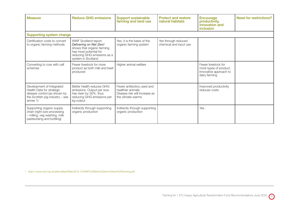| <b>Measure</b>                                                                                                                           | <b>Reduce GHG emissions</b>                                                                                                                                             | <b>Support sustainable</b><br>farming and land use                                                     | <b>Protect and restore</b><br>natural habitats | <b>Encourage</b><br>productivity,<br>innovation and<br><i>inclusion</i>                  | Need for restrictions? |
|------------------------------------------------------------------------------------------------------------------------------------------|-------------------------------------------------------------------------------------------------------------------------------------------------------------------------|--------------------------------------------------------------------------------------------------------|------------------------------------------------|------------------------------------------------------------------------------------------|------------------------|
| <b>Supporting system change</b>                                                                                                          |                                                                                                                                                                         |                                                                                                        |                                                |                                                                                          |                        |
| Certification costs to convert<br>to organic farming methods                                                                             | WWF Scotland report<br>Delivering on Net Zero <sup>9</sup><br>shows that organic farming<br>has most potential for<br>reducing GHG emissions as a<br>system in Scotland | Yes, it is the basis of the<br>organic farming system                                                  | Yes through reduced<br>chemical and input use  |                                                                                          |                        |
| Converting to cow with calf<br>schemes                                                                                                   | Fewer livestock for more<br>product as both milk and beef<br>produced                                                                                                   | Higher animal welfare                                                                                  |                                                | Fewer livestock for<br>more types of product.<br>Innovative approach to<br>dairy farming |                        |
| Development of Integrated<br>Health Data for strategic<br>disease control (as shown by<br>the Scottish pig industry - see<br>annex $1$ ) | Better health reduces GHG<br>emissions. Output per sow<br>has risen by 30%, thus<br>reducing GHG emissions per<br>kg output                                             | Fewer antibiotics used and<br>healthier animals.<br>Disease risk will increase as<br>the climate warms |                                                | Improved productivity<br>reduces costs                                                   |                        |
| Supporting organic supply<br>chain (right size processing<br>- milling, veg washing, milk<br>pasteurising and bottling)                  | Indirectly through supporting<br>organic production                                                                                                                     | Indirectly through supporting<br>organic production                                                    |                                                | Yes                                                                                      |                        |

<sup>9</sup> https://www.wwf.org.uk/sites/default/files/2019-12/WWF%20Net%20Zero%20and%20Farming.pdf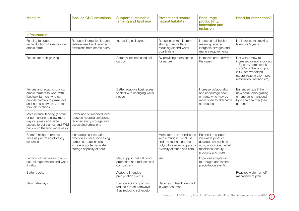| <b>Measure</b>                                                                                                                                                                  | <b>Reduce GHG emissions</b>                                                                                                                       | <b>Support sustainable</b><br>farming and land use                               | <b>Protect and restore</b><br>natural habitats                                                                                                       | <b>Encourage</b><br>productivity,<br>innovation and<br>inclusion                                                                       | <b>Need for restrictions?</b>                                                                                                                                                         |  |  |  |
|---------------------------------------------------------------------------------------------------------------------------------------------------------------------------------|---------------------------------------------------------------------------------------------------------------------------------------------------|----------------------------------------------------------------------------------|------------------------------------------------------------------------------------------------------------------------------------------------------|----------------------------------------------------------------------------------------------------------------------------------------|---------------------------------------------------------------------------------------------------------------------------------------------------------------------------------------|--|--|--|
| <b>Infrastructure</b>                                                                                                                                                           |                                                                                                                                                   |                                                                                  |                                                                                                                                                      |                                                                                                                                        |                                                                                                                                                                                       |  |  |  |
| Fencing to support<br>reintroduction of livestock on<br>arable farms                                                                                                            | Reduced inorganic nitrogen<br>fertiliser used and reduced<br>emissions from stored slurry                                                         | Increasing soil carbon                                                           | Reduces ammonia from<br>storing manure thus<br>reducing air and water<br>quality risks                                                               | Improved soil health<br>meaning reduced<br>inorganic nitrogen and<br>manure requirements                                               | No increase in stocking<br>levels for 5 years                                                                                                                                         |  |  |  |
| Fences for mob grazing                                                                                                                                                          |                                                                                                                                                   | Potential for increased soil<br>carbon                                           | By providing more space<br>for nature                                                                                                                | Increases productivity of<br>the grass                                                                                                 | Not with a view to<br>increased overall stocking<br>- Eg carry same stock<br>on 80% of the land, put<br>20% into woodland.<br>natural regeneration, peat<br>restoration, wetland etc) |  |  |  |
| Fences and troughs to allow<br>arable farmers to work with<br>livestock farmers who can<br>provide animals to graze leys<br>and increase diversity on farm<br>through rotations |                                                                                                                                                   | Better adaptive businesses<br>to deal with changing water<br>needs               |                                                                                                                                                      | Increase collaboration<br>and encourage new<br>entrants who may be<br>more open to alternative<br>approaches                           | Enhanced rate if the<br>new break crop grazing<br>enterprise is managed<br>by a share farmer (new<br>entrant)                                                                         |  |  |  |
| More internal fencing (electric<br>or permanent) to allow more<br>days at grass and better<br>access to get slurries and FYM<br>back onto the land more easily                  | Lower use of imported feed,<br>reduced housing emissions,<br>reduced slurry storage and<br>associated emissions                                   |                                                                                  |                                                                                                                                                      |                                                                                                                                        |                                                                                                                                                                                       |  |  |  |
| Better fencing to protect<br>trees as part of agroforestry<br>schemes                                                                                                           | Increasing sequestration<br>potential in trees, increasing<br>carbon storage in soils,<br>increasing potential water<br>storage capacity of soils |                                                                                  | More trees in the landscape<br>with a multifunctional use<br>and planted in a diverse<br>polyculture would support a<br>diversity of fauna and flora | Potential to support<br>innovative product<br>development such as<br>nuts, woodcrete, herbal<br>medicines, beauty<br>products and more |                                                                                                                                                                                       |  |  |  |
| Fencing off wet areas to allow<br>natural regeneration and water<br>filtration                                                                                                  |                                                                                                                                                   | May support natural flood<br>protection and reduces soil<br>compaction           | Yes                                                                                                                                                  | Improved adaptation<br>to drought and intense<br>precipitation events.                                                                 |                                                                                                                                                                                       |  |  |  |
| <b>Better tracks</b>                                                                                                                                                            |                                                                                                                                                   | Adapt to intensive<br>precipitation events                                       |                                                                                                                                                      |                                                                                                                                        | Requires water run-off<br>management plan                                                                                                                                             |  |  |  |
| New gate-ways                                                                                                                                                                   |                                                                                                                                                   | Reduce soil compaction,<br>reduce run-off pathways<br>thus reducing soil erosion | Reduces nutrient overload<br>in water courses                                                                                                        |                                                                                                                                        |                                                                                                                                                                                       |  |  |  |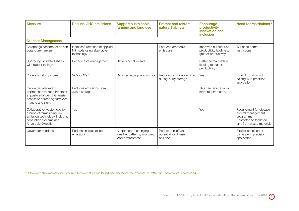| <b>Measure</b>                                                                                                                                | <b>Reduce GHG emissions</b>                                                  | <b>Support sustainable</b><br>farming and land use                        | <b>Protect and restore</b><br>natural habitats           | <b>Encourage</b><br>productivity,<br>innovation and<br>inclusion         | <b>Need for restrictions?</b>                                                                                       |
|-----------------------------------------------------------------------------------------------------------------------------------------------|------------------------------------------------------------------------------|---------------------------------------------------------------------------|----------------------------------------------------------|--------------------------------------------------------------------------|---------------------------------------------------------------------------------------------------------------------|
| <b>Nutrient Management</b>                                                                                                                    |                                                                              |                                                                           |                                                          |                                                                          |                                                                                                                     |
| Scrappage scheme for splash-<br>plate slurry tankers                                                                                          | Increased retention of applied<br>N in soils using alternative<br>technology |                                                                           | Reduced ammonia<br>emissions                             | Improved nutrient use<br>productivity leading to<br>greater productivity | Will need some<br>restrictions                                                                                      |
| Upgrading of slatted sheds<br>with rubber facings                                                                                             | Better waste management                                                      | Better animal welfare                                                     |                                                          | Better animal welfare<br>leading to higher<br>productivity               |                                                                                                                     |
| Covers for slurry stores                                                                                                                      | 5-7ktCO2e <sup>10</sup>                                                      | Reduced eutrophication risk                                               | Reduced ammonia emitted<br>during slurry storage         | Yes                                                                      | Explicit condition of<br>pairing with precision<br>application                                                      |
| Innovative/integrated<br>approaches to keep livestock<br>at pasture longer. E.G. easier<br>access to spreading farmyard<br>manure and slurry  | Reduces emissions from<br>waste storage                                      |                                                                           |                                                          | This can reduce slurry<br>store requirements.                            |                                                                                                                     |
| Collaborative waste hubs for<br>groups of farms using low<br>emission technology, including<br>separation systems and<br>Anaerobic Digestion. | Yes                                                                          |                                                                           |                                                          | Yes                                                                      | Requirement for disease<br>control management<br>programme.<br>Restricted to feedstock<br>only from waste materials |
| Covers for middens                                                                                                                            | Reduces nitrous oxide<br>emissions.                                          | Adaptation to changing<br>weather patterns, improved<br>local environment | Reduce run-off and<br>potential for diffuse<br>pollution |                                                                          | Explicit condition of<br>pairing with precision<br>application                                                      |

<sup>10</sup> https://www.climatexchange.org.uk/media/2035/review\_of\_options\_for\_reducing\_greenhouse\_gas\_emissions\_via\_cattle\_slurry\_management\_in\_scotland.pdf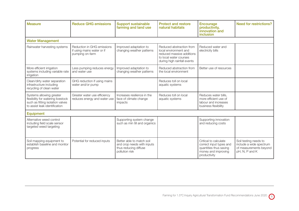| <b>Measure</b>                                                                                                                      | <b>Reduce GHG emissions</b>                                                 | <b>Support sustainable</b><br>farming and land use                                                 | <b>Protect and restore</b><br>natural habitats                                                                                          | <b>Encourage</b><br>productivity,<br>innovation and<br>inclusion                                                  | <b>Need for restrictions?</b>                                                                |
|-------------------------------------------------------------------------------------------------------------------------------------|-----------------------------------------------------------------------------|----------------------------------------------------------------------------------------------------|-----------------------------------------------------------------------------------------------------------------------------------------|-------------------------------------------------------------------------------------------------------------------|----------------------------------------------------------------------------------------------|
| <b>Water Management</b>                                                                                                             |                                                                             |                                                                                                    |                                                                                                                                         |                                                                                                                   |                                                                                              |
| Rainwater harvesting systems                                                                                                        | Reduction in GHG emissions<br>if using mains water or if<br>pumping on-farm | Improved adaptation to<br>changing weather patterns                                                | Reduced abstraction from<br>local environment and<br>reduced massive additions<br>to local water courses<br>during high rainfall events | Reduced water and<br>electricity bills                                                                            |                                                                                              |
| More efficient irrigation<br>systems including variable rate<br>irrigation                                                          | Less pumping reduces energy<br>and water use                                | Improved adaptation to<br>changing weather patterns                                                | Reduced abstraction from<br>the local environment                                                                                       | Better use of resources                                                                                           |                                                                                              |
| Clean/dirty water separation<br>infrastructure including<br>recycling of clean water                                                | GHG reduction if using mains<br>water and/or pump                           |                                                                                                    | Reduces toll on local<br>aquatic systems                                                                                                |                                                                                                                   |                                                                                              |
| Systems allowing greater<br>flexibility for watering livestock<br>such as fitting isolation valves<br>to assist leak identification | Greater water use efficiency<br>reduces energy and water use                | Increases resilience in the<br>face of climate change<br>impacts                                   | Reduces toll on local<br>aquatic systems                                                                                                | Reduces water bills.<br>more efficient use of<br>labour and increases<br>business flexibility                     |                                                                                              |
| <b>Equipment</b>                                                                                                                    |                                                                             |                                                                                                    |                                                                                                                                         |                                                                                                                   |                                                                                              |
| Alternative weed control<br>including field scale sensor<br>targeted weed targeting                                                 |                                                                             | Supporting system change<br>such as min till and organics                                          |                                                                                                                                         | Supporting innovation<br>and reducing costs                                                                       |                                                                                              |
| Soil mapping equipment to<br>establish baseline and monitor<br>progress                                                             | Potential for reduced inputs                                                | Better able to match soil<br>and crop needs with inputs<br>thus reducing diffuse<br>pollution risk |                                                                                                                                         | Critical to calculate<br>correct input types and<br>quantities thus saving<br>money and improving<br>productivity | Soil testing needs to<br>include a wide spectrum<br>of measurements beyond<br>pH, N, P and K |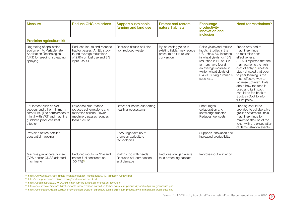| <b>Measure</b>                                                                                                                                                    | <b>Reduce GHG emissions</b>                                                                                                            | <b>Support sustainable</b><br>farming and land use              | <b>Protect and restore</b><br>natural habitats                                                  | <b>Encourage</b><br>productivity,<br>innovation and<br><i>inclusion</i>                                                                                                                                                                                                     | <b>Need for restrictions?</b>                                                                                                                                                                                                                                                                                                                                                                                            |
|-------------------------------------------------------------------------------------------------------------------------------------------------------------------|----------------------------------------------------------------------------------------------------------------------------------------|-----------------------------------------------------------------|-------------------------------------------------------------------------------------------------|-----------------------------------------------------------------------------------------------------------------------------------------------------------------------------------------------------------------------------------------------------------------------------|--------------------------------------------------------------------------------------------------------------------------------------------------------------------------------------------------------------------------------------------------------------------------------------------------------------------------------------------------------------------------------------------------------------------------|
| <b>Precision agriculture kit</b>                                                                                                                                  |                                                                                                                                        |                                                                 |                                                                                                 |                                                                                                                                                                                                                                                                             |                                                                                                                                                                                                                                                                                                                                                                                                                          |
| Upgrading of application<br>equipment to Variable rate<br>Application Technologies<br>(VRT) for seeding, spreading,<br>spraying.                                  | Reduced inputs and reduced<br>tractor passes. An EU study<br>found average reductions<br>of 2.8% on fuel use and 8%<br>input use $(9)$ | Reduced diffuse pollution<br>risk, reduced waste                | By increasing yields in<br>existing fields, may reduce<br>pressure on future land<br>conversion | Raise yields and reduce<br>inputs. Studies in the<br>US <sup>11</sup> show 8% increase<br>in wheat yields for 10%<br>reduction in N use. UK<br>farmers have found<br>an average increase in<br>winter wheat yields of<br>6.45% <sup>12</sup> using a variable<br>seed rate. | Funds provided to<br>machinery rings<br>to maximise cost-<br>effectiveness.<br>SEFARI reported that the<br>main barrier is the high<br>cost of entry <sup>13</sup> . Another<br>study showed that peer<br>to peer learning is the<br>most effective way to<br>increase uptake <sup>14</sup> . Data<br>about how the tech is<br>used and its impact<br>should be fed back to<br>Scottish Govt to inform<br>future policy. |
| Equipment such as slot<br>seeders and other minimum/<br>zero till kit. (The combination of<br>min till with VRT and machine<br>guidance produces best<br>effects) | Lower soil disturbance<br>reduces soil emissions and<br>maintains carbon. Fewer<br>machinery passes reduces<br>fossil fuel use.        | Better soil health supporting<br>healthier ecosystems.          |                                                                                                 | Encourages<br>collaboration and<br>knowledge transfer.<br>Reduces fuel costs.                                                                                                                                                                                               | Funding should be<br>provided to collaborative<br>groups of farmers, inclu<br>machinery rings to<br>maximise the use of the<br>fund, with the expectation<br>of demonstration events.                                                                                                                                                                                                                                    |
| Provision of free detailed<br>geospatial mapping                                                                                                                  |                                                                                                                                        | Encourage take up of<br>precision agriculture<br>technologies   |                                                                                                 | Supports innovation and<br>increased productivity.                                                                                                                                                                                                                          |                                                                                                                                                                                                                                                                                                                                                                                                                          |
| Machine guidance/autosteer<br>(GPS and/or GNSS adapted<br>machinery)                                                                                              | Reduced inputs (-2.9%) and<br>tractor fuel consumption<br>$(-5.4\%)$ <sup>15</sup>                                                     | Match crop with needs.<br>Reduced soil compaction<br>and damage | Reduces nitrogen waste<br>thus protecting habitats                                              | Improve input efficiency                                                                                                                                                                                                                                                    |                                                                                                                                                                                                                                                                                                                                                                                                                          |

<sup>11</sup> https://www.usda.gov/oce/climate\_change/mitigation\_technologies/GHG\_Mitigation\_Options.pdf

<sup>12</sup> http://www.ipf-af.com/precision-farming/media/enews-oct14.pdf

<sup>13</sup> https://sefari.scot/blog/2019/04/08/is-smart-farming-a-solution-for-scottish-agriculture

<sup>14</sup> https://ec.europa.eu/jrc/en/publication/contribution-precision-agriculture-technologies-farm-productivity-and-mitigation-greenhouse-gas

<sup>15</sup> https://ec.europa.eu/jrc/en/publication/contribution-precision-agriculture-technologies-farm-productivity-and-mitigation-greenhouse-gas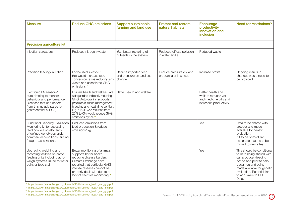| <b>Measure</b>                                                                                                                                                                                | <b>Reduce GHG emissions</b>                                                                                                                                                                                                                                                           | <b>Support sustainable</b><br>farming and land use         | <b>Protect and restore</b><br>natural habitats   | <b>Encourage</b><br>productivity,<br>innovation and<br>inclusion                             | Need for restrictions?                                                                                                                                                                                                             |
|-----------------------------------------------------------------------------------------------------------------------------------------------------------------------------------------------|---------------------------------------------------------------------------------------------------------------------------------------------------------------------------------------------------------------------------------------------------------------------------------------|------------------------------------------------------------|--------------------------------------------------|----------------------------------------------------------------------------------------------|------------------------------------------------------------------------------------------------------------------------------------------------------------------------------------------------------------------------------------|
| <b>Precision agriculture kit</b>                                                                                                                                                              |                                                                                                                                                                                                                                                                                       |                                                            |                                                  |                                                                                              |                                                                                                                                                                                                                                    |
| Injection spreaders                                                                                                                                                                           | Reduced nitrogen waste                                                                                                                                                                                                                                                                | Yes, better recycling of<br>nutrients in the system        | Reduced diffuse pollution<br>in water and air    | Reduced waste                                                                                |                                                                                                                                                                                                                                    |
| Precision feeding/ nutrition                                                                                                                                                                  | For housed livestock,<br>this would increase feed<br>conversion ratios reducing any<br>waste and associated GHG<br>emissions <sup>16</sup>                                                                                                                                            | Reduce imported feed<br>and pressure on land use<br>change | Reduce pressure on land<br>producing animal feed | Increase profits                                                                             | Ongoing results in<br>changes would need to<br>be provided                                                                                                                                                                         |
| Electronic ID/ sensors/<br>auto drafting to monitor<br>behaviour and performance.<br>Diseases that can benefit<br>from this include parasitic<br>gastroenteristis (PGE)                       | Ensures health and welfare <sup>17</sup> are<br>safeguarded indirectly reducing<br>GHG. Auto-drafting supports<br>precision nutrition management,<br>breeding and health intervention.<br>E.g. if PGE was reduced from<br>20% to 0% would reduce GHG<br>emissions by 9% <sup>18</sup> | Better health and welfare                                  |                                                  | Better health and<br>welfare reduces vet<br>and medicine bills and<br>increases productivity |                                                                                                                                                                                                                                    |
| <b>Functional Capacity Evaluation</b><br>Monitoring kit for assessing<br>feed conversion efficiency<br>of defined genotypes under<br>commercial conditions utilising<br>forage-based rations. | Reduced emissions from<br>feed production & reduce<br>emissions/kg                                                                                                                                                                                                                    |                                                            |                                                  | Yes                                                                                          | Data to be shared with<br>breeder and made<br>available for genetic<br>evaluation.<br>Kit to be of modular<br>design so that it can be<br>moved to new sites.                                                                      |
| Upgrading weighing and<br>recording facilities on cattle<br>feeding units including auto-<br>weigh systems linked to water<br>point or feed stall.                                            | Better monitoring of animals<br>supports better health,<br>reducing disease burden.<br>Climate Exchange have<br>reported that particular GHG<br>intense diseases cannot be<br>properly dealt with due to a<br>lack of effective monitoring <sup>19</sup> .                            |                                                            |                                                  | Yes                                                                                          | This should be conditional<br>to data being shared with<br>calf producer (feeding<br>period and prior to sale/<br>slaughter) and being<br>made available for genetic<br>evaluation. Potential link<br>to add-value to BES<br>Data. |

<sup>16</sup> https://www.climatexchange.org.uk/media/2031/livestock\_health\_and\_ghg.pdf

<sup>17</sup> https://www.climatexchange.org.uk/media/2031/livestock\_health\_and\_ghg.pdf

<sup>18</sup> https://www.climatexchange.org.uk/media/2031/livestock\_health\_and\_ghg.pdf

<sup>19</sup> https://www.climatexchange.org.uk/media/2031/livestock\_health\_and\_ghg.pdf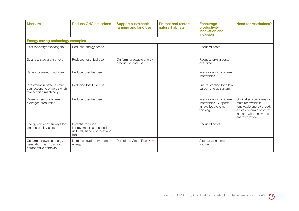| <b>Measure</b>                                                                            | <b>Reduce GHG emissions</b>                                                             | <b>Support sustainable</b><br>farming and land use | <b>Protect and restore</b><br>natural habitats | <b>Encourage</b><br>productivity,<br>innovation and<br>inclusion                    | <b>Need for restrictions?</b>                                                                                                                           |
|-------------------------------------------------------------------------------------------|-----------------------------------------------------------------------------------------|----------------------------------------------------|------------------------------------------------|-------------------------------------------------------------------------------------|---------------------------------------------------------------------------------------------------------------------------------------------------------|
| <b>Energy saving technology examples</b>                                                  |                                                                                         |                                                    |                                                |                                                                                     |                                                                                                                                                         |
| Heat recovery/ exchangers                                                                 | Reduced energy needs                                                                    |                                                    |                                                | Reduced costs                                                                       |                                                                                                                                                         |
| Solar-assisted grain dryers                                                               | Reduced fossil fuel use                                                                 | On farm renewable energy<br>production and use     |                                                | Reduces drying costs<br>over time                                                   |                                                                                                                                                         |
| Battery powered machinery                                                                 | Reduce fossil fuel use                                                                  |                                                    |                                                | Integration with on farm<br>renewables                                              |                                                                                                                                                         |
| Investment in better electric<br>connections to enable switch<br>to electrified machinery | Reducing fossil fuel use                                                                |                                                    |                                                | Future proofing for a low<br>carbon energy system                                   |                                                                                                                                                         |
| Development of on farm<br>hydrogen production                                             | Reduce fossil fuel use                                                                  |                                                    |                                                | Integration with on farm<br>renewables. Supports<br>innovative systems<br>thinking. | Original source of energy<br>must renewable ie.<br>renewable energy already<br>exists on farm or contract<br>in place with renewable<br>energy provider |
| Energy efficiency surveys for<br>pig and poultry units                                    | Potential for huge<br>improvements as housed<br>units rely heavily on heat and<br>light |                                                    |                                                | Reduced costs                                                                       |                                                                                                                                                         |
| On farm renewable energy<br>generation, particularly in<br>collaborative contexts         | Increases availability of clean<br>energy                                               | Part of the Green Recovery                         |                                                | Alternative income<br>source                                                        |                                                                                                                                                         |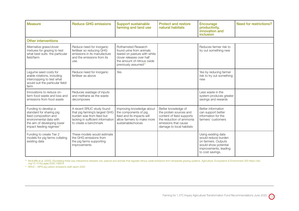| <b>Measure</b>                                                                                                                                                             | <b>Reduce GHG emissions</b>                                                                                                                           | <b>Support sustainable</b><br>farming and land use                                                                                                                                     | <b>Protect and restore</b><br>natural habitats                                                                                                             | <b>Encourage</b><br>productivity,<br>innovation and<br>inclusion                                                                       | <b>Need for restrictions?</b> |
|----------------------------------------------------------------------------------------------------------------------------------------------------------------------------|-------------------------------------------------------------------------------------------------------------------------------------------------------|----------------------------------------------------------------------------------------------------------------------------------------------------------------------------------------|------------------------------------------------------------------------------------------------------------------------------------------------------------|----------------------------------------------------------------------------------------------------------------------------------------|-------------------------------|
| <b>Other interventions</b>                                                                                                                                                 |                                                                                                                                                       |                                                                                                                                                                                        |                                                                                                                                                            |                                                                                                                                        |                               |
| Alternative grass/clover<br>mixtures for grazing to test<br>what best suits the particular<br>field/farm                                                                   | Reduce need for inorganic<br>fertiliser so reducing GHG<br>emissions in its manufacture<br>and the emissions from its<br>use.                         | <b>Rothamsted Research</b><br>found urine from animals<br>reared on pasture with white<br>clover releases over half<br>the amount of nitrous oxide<br>previously assumed <sup>20</sup> |                                                                                                                                                            | Reduces farmer risk to<br>try out something new                                                                                        |                               |
| Legume seed costs for<br>arable rotations, including<br>intercropping to test what<br>would suit the particular field/<br>farm                                             | Reduce need for inorganic<br>fertiliser as above                                                                                                      | Yes                                                                                                                                                                                    |                                                                                                                                                            | Yes by reducing farmer<br>risk to try out something<br>new                                                                             |                               |
| Innovations to reduce on-<br>farm food waste and loss and<br>emissions from food waste                                                                                     | Reduces wastage of inputs<br>and methane as the waste<br>decomposes                                                                                   |                                                                                                                                                                                        |                                                                                                                                                            | Less waste in the<br>system produces greater<br>savings and rewards                                                                    |                               |
| Funding to develop a<br>standard for sharing pig<br>feed composition and<br>environmental data with<br>the aim of developing lower<br>impact feeding regimes <sup>21</sup> | A recent SRUC study found<br>that pig farming's largest GHG<br>burden was from feed but<br>lacking in sufficient information<br>to create a benchmark | Improving knowledge about<br>the components of pig<br>feed and its impacts will<br>allow farmers to make more<br>sustainablechoices                                                    | Better knowledge of<br>the protein sources and<br>content of feed supports<br>the reduction of ammonia<br>emissions that cause<br>damage to local habitats | Better information<br>can support better<br>information for the<br>farmers' customers                                                  |                               |
| Funding to create Tier 2<br>models for pig farms collating<br>existing data                                                                                                | These models would estimate<br>the GHG emissions from<br>the pig farms supporting<br>improvements                                                     |                                                                                                                                                                                        |                                                                                                                                                            | Using existing data<br>would reduce burden<br>on farmers. Outputs<br>would show potential<br>improvements, leading<br>to cost savings. |                               |

20 McAuliffe et al. (2020). Elucidating three-way interactions between soil, pasture and animals that regulate nitrous oxide emissions from temperate grazing systems. Agriculture, Ecosystems & Environment 300 https://doi.<br>

<sup>21</sup> SRUC – WPS pig carbon emissions draft report 2020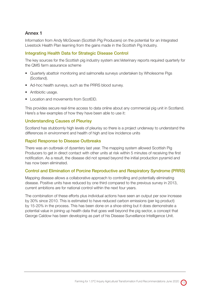## Annex 1

Information from Andy McGowan (Scottish Pig Producers) on the potential for an Integrated Livestock Health Plan learning from the gains made in the Scottish Pig Industry.

## Integrating Health Data for Strategic Disease Control

The key sources for the Scottish pig industry system are:Veterinary reports required quarterly for the QMS farm assurance scheme

- Quarterly abattoir monitoring and salmonella surveys undertaken by Wholesome Pigs (Scotland).
- Ad-hoc health surveys, such as the PRRS blood survey.
- Antibiotic usage.
- Location and movements from ScotEID.

This provides secure real-time access to data online about any commercial pig unit in Scotland. Here's a few examples of how they have been able to use it:

#### Understanding Causes of Pleurisy

Scotland has stubbornly high levels of pleurisy so there is a project underway to understand the differences in environment and health of high and low incidence units

#### Rapid Response to Disease Outbreaks

There was an outbreak of dysentery last year. The mapping system allowed Scottish Pig Producers to get in direct contact with other units at risk within 5 minutes of receiving the first notification. As a result, the disease did not spread beyond the initial production pyramid and has now been eliminated.

#### Control and Elimination of Porcine Reproductive and Respiratory Syndrome (PRRS)

Mapping disease allows a collaborative approach to controlling and potentially eliminating disease. Positive units have reduced by one third compared to the previous survey in 2013, current ambitions are for national control within the next four years.

The combination of these efforts plus individual actions have seen an output per sow increase by 30% since 2010. This is estimated to have reduced carbon emissions (per kg product) by 15-20% in the process. This has been done on a shoe-string but it does demonstrate a potential value in joining up health data that goes well beyond the pig sector, a concept that George Caldow has been developing as part of his Disease Surveillance Intelligence Unit.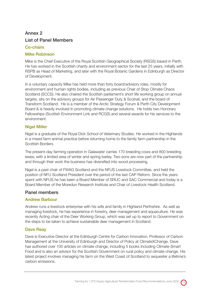## Annex 2 List of Panel Members

## Co-chairs

## Mike Robinson

Mike is the Chief Executive of the Royal Scottish Geographical Society (RSGS) based in Perth. He has worked in the Scottish charity and environment sector for the last 25 years, initially with RSPB as Head of Marketing, and later with the Royal Botanic Gardens in Edinburgh as Director of Development.

In a voluntary capacity Mike has held more than forty board/advisory roles, mostly for environment and human rights bodies, including as previous Chair of Stop Climate Chaos Scotland (SCCS). He also chaired the Scottish parliament's short life working group on annual targets, sits on the advisory groups for Air Passenger Duty & Scotrail, and the board of Transform Scotland. He is a member of the Arctic Strategy Forum & Perth City Development Board & is heavily involved in promoting climate change solutions. He holds two Honorary Fellowships (Scottish Environment Link and RCGS) and several awards for his services to the environment.

## Nigel Miller

Nigel is a graduate of the Royal Dick School of Veterinary Studies. He worked in the Highlands in a mixed farm animal practice before returning home to the family farm partnership in the Scottish Borders.

The present-day farming operation in Galawater carries 170 breeding cows and 800 breeding ewes; with a limited area of winter and spring barley. Two sons are now part of the partnership and through their work the business has diversified into wood processing.

Nigel is a past chair of FWAG Scotland and the NFUS Livestock Committee, and held the position of NFU Scotland President over the period of the last CAP Reform. Since the years spent with NFUS he has been a Board Member of SRUC and SAC Commercial and today is a Board Member of the Moredun Research Institute and Chair of Livestock Health Scotland.

## Panel members

## Andrew Barbour

Andrew runs a livestock enterprise with his wife and family in Highland Perthshire. As well as managing livestock, he has experience in forestry, deer management and aquaculture. He was recently Acting chair of the Deer Working Group, which was set up to report to Government on the steps to be taken to achieve sustainable deer management in Scotland.

## Dave Reay

Dave is Executive Director at the Edinburgh Centre for Carbon Innovation, Professor of Carbon Management at the University of Edinburgh and Director of Policy at ClimateXChange. Dave has authored over 100 articles on climate change, including 5 books including Climate-Smart Food and is also an advisor for the Scottish Government on rural policy and climate change. His latest project involves managing his farm on the West Coast of Scotland to sequester a lifetime's carbon emissions.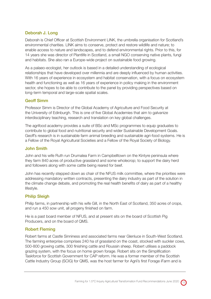## Deborah J. Long

Deborah is Chief Officer at Scottish Environment LINK, the umbrella organisation for Scotland's environmental charities. LINK aims to conserve, protect and restore wildlife and nature; to enable access to nature and landscapes, and to defend environmental rights. Prior to this, for 14 years she was director of Plantlife in Scotland, a small NGO conserving native plants, fungi and habitats. She also ran a Europe-wide project on sustainable food growing.

As a palaeo-ecologist, her outlook is based in a detailed understanding of ecological relationships that have developed over millennia and are deeply influenced by human activities. With 16 years of experience in ecosystem and habitat conservation, with a focus on ecosystem health and functioning as well as 16 years of experience in policy making in the environment sector, she hopes to be able to contribute to the panel by providing perspectives based on long-term temporal and large-scale spatial scales.

### Geoff Simm

Professor Simm is Director of the Global Academy of Agriculture and Food Security at the University of Edinburgh. This is one of five Global Academies that aim to galvanize interdisciplinary teaching, research and translation on key global challenges.

The agrifood academy provides a suite of BSc and MSc programmes to equip graduates to contribute to global food and nutritional security and wider Sustainable Development Goals. Geoff's research is in sustainable farm animal breeding and sustainable agri-food systems. He is a Fellow of the Royal Agricultural Societies and a Fellow of the Royal Society of Biology.

#### John Smith

John and his wife Ruth run Drumalea Farm in Campbelltown on the Kintyre peninsula where they farm 840 acres of productive grassland and some wholecrop; to support the dairy herd and followers along with some cattle being reared for beef.

John has recently stepped down as chair of the NFUS milk committee, where the priorities were addressing mandatory written contracts, presenting the dairy industry as part of the solution in the climate change debate, and promoting the real health benefits of dairy as part of a healthy lifestyle.

### Philip Sleigh

Philip farms, in partnership with his wife Gill, in the North East of Scotland, 350 acres of crops, and run a 450 sow unit, all progeny finished on farm.

He is a past board member of NFUS, and at present sits on the board of Scottish Pig Producers, and on the board of QMS.

### Robert Fleming

Robert farms at Castle Sinniness and associated farms near Glenluce in South-West Scotland. The farming enterprise comprises 240 ha of grassland on the coast, stocked with suckler cows, 500-800 growing cattle, 300 finishing cattle and Roussin sheep. Robert utilises a paddock grazing system, with the focus on home grown forage. Robert sits on the Simplification Taskforce for Scottish Government for CAP reform. He was a former member of the Scottish Cattle Industry Group (SCIG) for QMS, was the host farmer for Agrii's first Forage iFarm and is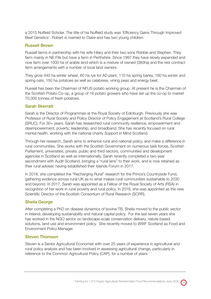a 2015 Nuffield Scholar. The title of his Nuffield study was 'Efficiency Gains Through Improved Beef Genetics'. Robert is married to Claire and has two young children.

#### Russell Brown

Russell farms in partnership with his wife Hilary and their two sons Robbie and Stephen. They farm mainly in NE Fife but have a farm in Perthshire. Since 1997 they have slowly expanded and now farm over 1000 ha of arable land which is a mixture of owned (380ha) and the rest contract farm arrangements with a number of local land owners.

They grow 440 ha winter wheat, 60 ha rye for AD plant, 110 ha spring barley, 160 ha winter and spring oats, 150 ha potatoes as well as calabrese, vining peas and energy beet.

Russell has been the Chairman of NFUS potato working group. At present he is the Chairman of the Scottish Potato Co-op, a group of 16 potato growers who have set up the co-op to market 70,000 tonnes of fresh potatoes.

#### Sarah Skerratt

Sarah is the Director of Programmes at the Royal Society of Edinburgh. Previously she was Professor of Rural Society and Policy Director of Policy Engagement at Scotland's Rural College (SRUC). For 30+ years, Sarah has researched rural community resilience, empowerment and disempowerment; poverty; leadership; and broadband. She has recently focused on rural mental health, working with the national charity Support in Mind Scotland.

Through her research, Sarah aims to enhance rural and national policy, and make a difference in rural communities. She works with the Scottish Government on numerous task forces, Scottish Parliament, universities, private, public and third sectors, communities and development agencies in Scotland as well as internationally. Sarah recently completed a two-year secondment with Audit Scotland, bringing a "rural lens" to their work, and is now retained as their rural adviser, having established their Islands Forum in 2017.

In 2018, she completed the "Recharging Rural" research for the Prince's Countryside Fund, gathering evidence across rural UK as to what makes rural communities sustainable to 2030 and beyond. In 2017, Sarah was appointed as a Fellow of the Royal Society of Arts (RSA) in recognition of her work in rural poverty and rural policy. In 2018, she was appointed as the new Scientific Director of the Scottish Consortium of Rural Research (SCRR).

### Sheila George

After completing a PhD on disease dynamics of bovine TB, Sheila moved to the public sector in Ireland, developing sustainability and natural capital policy. For the last seven years she has worked in the NGO sector on landscape-scale conservation delivery, nature-based solutions, land use and environment policy. She recently moved to WWF Scotland as Food and Environment Policy Manager.

## Steven Thomson

Steven is a Senior Agricultural Economist with over 25 years of experience in agricultural and rural policy analysis and has been involved in assessing agricultural change, particularly in reference to the Common Agricultural Policy (CAP), for a number of years.